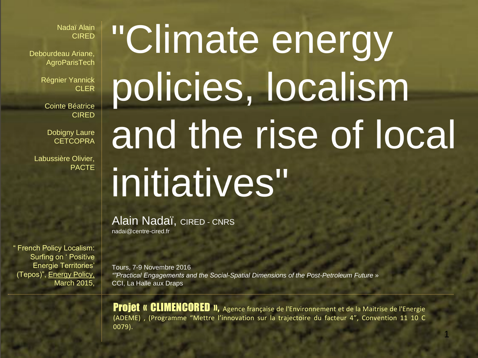Nadaï Alain CIRED

Debourdeau Ariane, **AgroParisTech** 

> Régnier Yannick **CLER**

Cointe Béatrice CIRED

Dobigny Laure **CETCOPRA** 

Labussière Olivier, PACTE

" French Policy Localism: Surfing on ' Positive Energie Territories' (Tepos)", Energy Policy, March 2015,

# "Climate energy policies, localism and the rise of local initiatives"

Alain Nadaï, CIRED - CNRS nadai@centre-cired.fr

Tours, 7-9 Novembre 2016 *""Practical Engagements and the Social-Spatial Dimensions of the Post-Petroleum Future* » CCI, La Halle aux Draps

Projet « CLIMENCORED », Agence française de l'Environnement et de la Maitrise de l'Energie (ADEME) , (Programme "Mettre l'innovation sur la trajectoire du facteur 4", Convention 11 10 C 0079).

1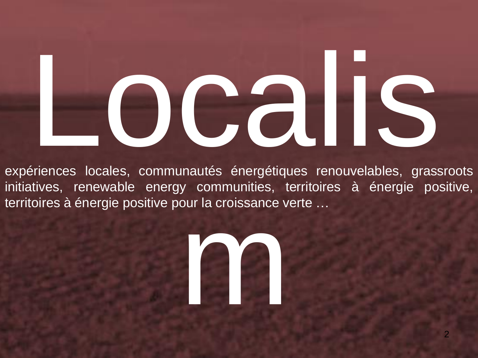# Localis

expériences locales, communautés énergétiques renouvelables, grassroots initiatives, renewable energy communities, territoires à énergie positive, territoires à énergie positive pour la croissance verte …

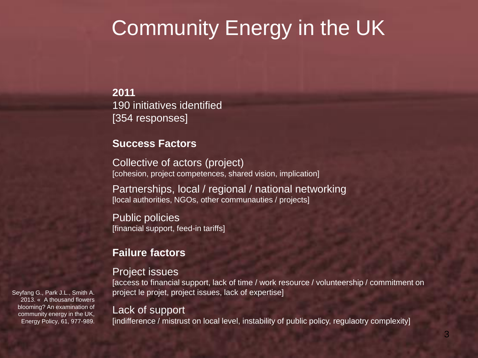# Community Energy in the UK

**2011** 190 initiatives identified [354 responses]

#### **Success Factors**

Collective of actors (project) [cohesion, project competences, shared vision, implication]

Partnerships, local / regional / national networking [local authorities, NGOs, other communauties / projects]

Public policies [financial support, feed-in tariffs]

#### **Failure factors**

#### Project issues

[access to financial support, lack of time / work resource / volunteership / commitment on project le projet, project issues, lack of expertise]

#### Lack of support

[indifference / mistrust on local level, instability of public policy, regulaotry complexity]

Seyfang G., Park J.L., Smith A. 2013. « A thousand flowers blooming? An examination of community energy in the UK, Energy Policy, 61, 977-989.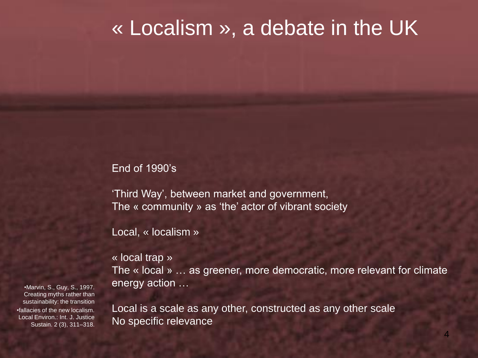### « Localism », a debate in the UK

End of 1990's

'Third Way', between market and government, The « community » as 'the' actor of vibrant society

Local, « localism »

« local trap »

The « local » … as greener, more democratic, more relevant for climate energy action …

Local is a scale as any other, constructed as any other scale No specific relevance

•Marvin, S., Guy, S., 1997. Creating myths rather than sustainability: the transition •fallacies of the new localism. Local Environ.: Int. J. Justice Sustain. 2 (3), 311–318.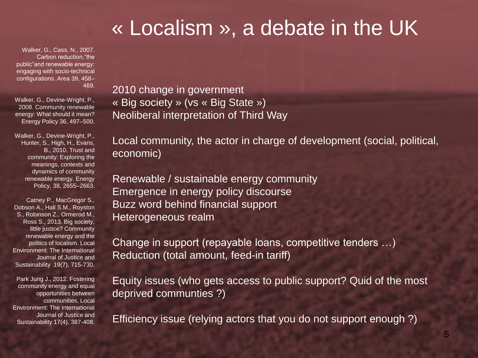# « Localism », a debate in the UK

Walker, G., Cass, N., 2007. Carbon reduction,"the public"and renewable energy: engaging with socio-technical configurations. Area 39, 458– 469.

Walker, G., Devine-Wright, P., 2008. Community renewable energy: What should it mean? Energy Policy 36, 497–500.

Walker, G., Devine-Wright, P., Hunter, S., High, H., Evans, B., 2010. Trust and community: Exploring the meanings, contexts and dynamics of community renewable energy. Energy Policy, 38, 2655–2663.

Catney P., MacGregor S., Dobson A., Hall S.M., Royston S., Robinson Z., Ormerod M., Ross S., 2013. Big society, little justice? Community renewable energy and the politics of localism. Local Environment: The International Journal of Justice and Sustainability 19(7), 715-730.

Park Jung J., 2012. Fostering community energy and equal opportunities between communities, Local Environment: The International Journal of Justice and Sustainability 17(4), 387-408. 2010 change in government « Big society » (vs « Big State ») Neoliberal interpretation of Third Way

Local community, the actor in charge of development (social, political, economic)

Renewable / sustainable energy community Emergence in energy policy discourse Buzz word behind financial support Heterogeneous realm

Change in support (repayable loans, competitive tenders …) Reduction (total amount, feed-in tariff)

Equity issues (who gets access to public support? Quid of the most deprived communties ?)

Efficiency issue (relying actors that you do not support enough ?)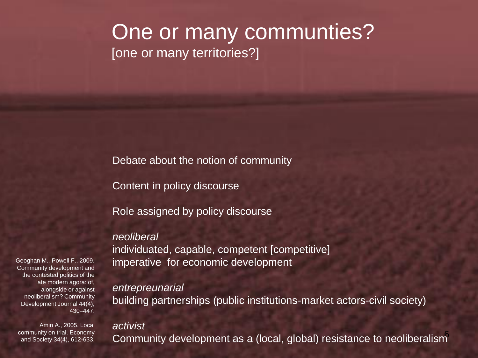### One or many communties? [one or many territories?]

Debate about the notion of community

Content in policy discourse

Role assigned by policy discourse

#### *neoliberal*

individuated, capable, competent [competitive] imperative for economic development

#### *entrepreunarial*

building partnerships (public institutions-market actors-civil society)

#### *activist*

6 Community development as a (local, global) resistance to neoliberalism

Geoghan M., Powell F., 2009. Community development and the contested politics of the late modern agora: of, alongside or against neoliberalism? Community Development Journal 44(4), 430–447.

Amin A., 2005. Local community on trial. Economy and Society 34(4), 612-633.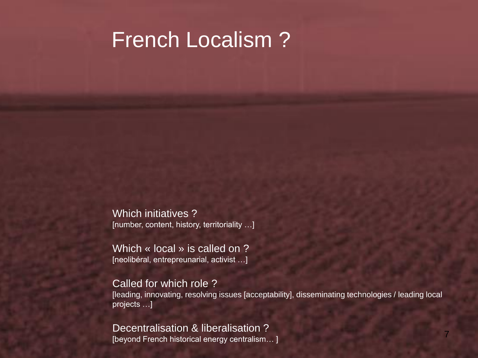# French Localism ?

Which initiatives ? [number, content, history, territoriality …]

Which « local » is called on ? [neolibéral, entrepreunarial, activist …]

#### Called for which role ?

[leading, innovating, resolving issues [acceptability], disseminating technologies / leading local projects …]

Decentralisation & liberalisation ? [beyond French historical energy centralism… ]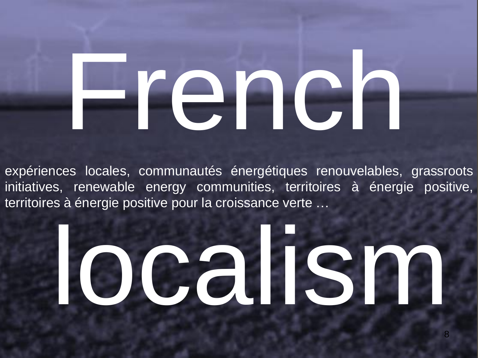# French

expériences locales, communautés énergétiques renouvelables, grassroots initiatives, renewable energy communities, territoires à énergie positive, territoires à énergie positive pour la croissance verte …

# localism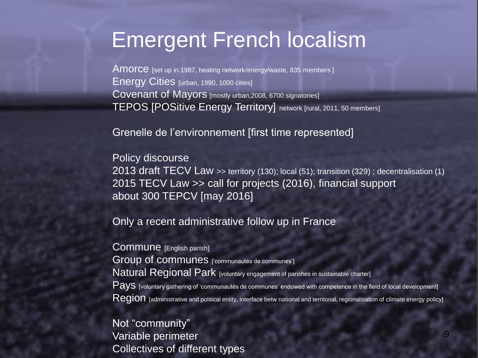# Emergent French localism

AMOrce [set up in 1987, heating network/energy/waste, 835 members] Energy Cities [urban, 1990, 1000 cities] Covenant of Mayors [mostly urban,2008, 6700 signatories] TEPOS [POSitive Energy Territory] network [rural, 2011, 50 members]

Grenelle de l'environnement [first time represented]

Policy discourse 2013 draft TECV Law >> territory (130); local (51); transition (329) ; decentralisation (1) 2015 TECV Law >> call for projects (2016), financial support about 300 TEPCV [may 2016]

Only a recent administrative follow up in France

Commune [English parish] Group of communes ['communautés de communes'] Natural Regional Park [voluntary engagement of parishes in sustainable charter] Pays [voluntary gathering of 'communautés de communes' endowed with competence in the field of local development]  ${\sf Region}$  [administrative and political entity, interface betw national and territorial, regionalisation of climate energy policy]

Not "community" Variable perimeter Collectives of different types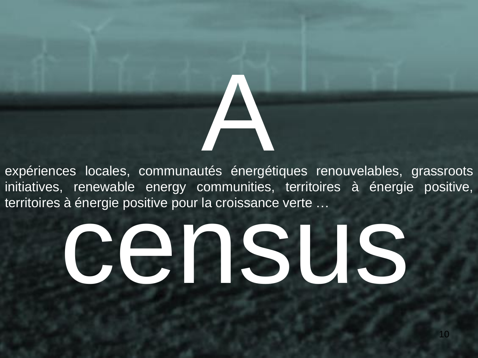expériences locales, communautés énergétiques renouvelables, grassroots initiatives, renewable energy communities, territoires à énergie positive, territoires à énergie positive pour la croissance verte …

A

# census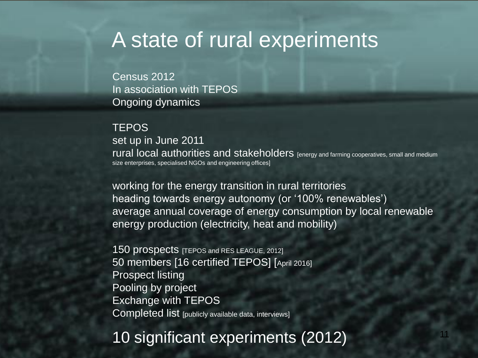# A state of rural experiments

Census 2012 In association with TEPOS Ongoing dynamics

#### **TEPOS**

set up in June 2011 rural local authorities and stakeholders [energy and farming cooperatives, small and medium size enterprises, specialised NGOs and engineering offices]

working for the energy transition in rural territories heading towards energy autonomy (or '100% renewables') average annual coverage of energy consumption by local renewable energy production (electricity, heat and mobility)

150 prospects [TEPOS and RES LEAGUE, 2012] 50 members [16 certified TEPOS] [April 2016] Prospect listing Pooling by project Exchange with TEPOS Completed list [publicly available data, interviews]

10 significant experiments (2012)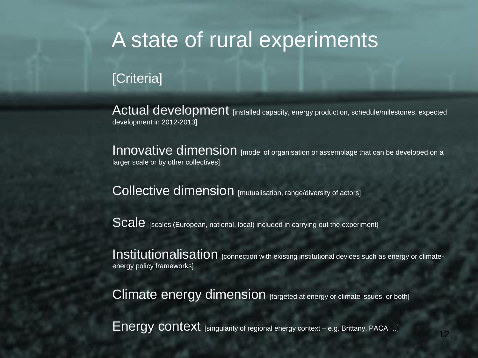# A state of rural experiments

#### [Criteria]

Actual development [installed capacity, energy production, schedule/milestones, expected development in 2012-2013]

Innovative dimension [model of organisation or assemblage that can be developed on a larger scale or by other collectives]

Collective dimension [mutualisation, range/diversity of actors]

Scale [scales (European, national, local) included in carrying out the experiment]

Institutionalisation [connection with existing institutional devices such as energy or climateenergy policy frameworks]

Climate energy dimension [targeted at energy or climate issues, or both]

Energy context [singularity of regional energy context – e.g. Brittany, PACA ...]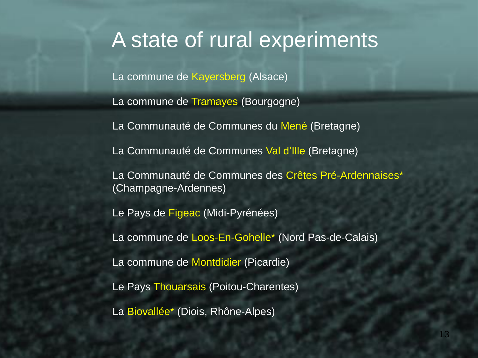### A state of rural experiments

La commune de Kayersberg (Alsace)

La commune de Tramayes (Bourgogne)

La Communauté de Communes du Mené (Bretagne)

La Communauté de Communes Val d'Ille (Bretagne)

La Communauté de Communes des Crêtes Pré-Ardennaises\* (Champagne-Ardennes)

Le Pays de Figeac (Midi-Pyrénées)

La commune de Loos-En-Gohelle\* (Nord Pas-de-Calais)

La commune de Montdidier (Picardie)

Le Pays Thouarsais (Poitou-Charentes)

La Biovallée\* (Diois, Rhône-Alpes)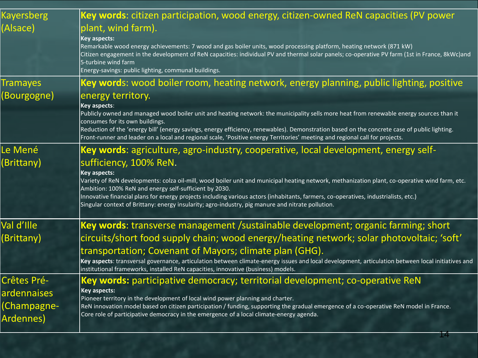| <b>Kayersberg</b> | Key words: citizen participation, wood energy, citizen-owned ReN capacities (PV power                                                                                                                                                                                                                                                                                        |
|-------------------|------------------------------------------------------------------------------------------------------------------------------------------------------------------------------------------------------------------------------------------------------------------------------------------------------------------------------------------------------------------------------|
| (Alsace)          | plant, wind farm).                                                                                                                                                                                                                                                                                                                                                           |
|                   | <b>Key aspects:</b><br>Remarkable wood energy achievements: 7 wood and gas boiler units, wood processing platform, heating network (871 kW)<br>Citizen engagement in the development of ReN capacities: individual PV and thermal solar panels; co-operative PV farm (1st in France, 8kWc)and<br>5-turbine wind farm<br>Energy-savings: public lighting, communal buildings. |
| <b>Tramayes</b>   | Key words: wood boiler room, heating network, energy planning, public lighting, positive                                                                                                                                                                                                                                                                                     |
| (Bourgogne)       | energy territory.                                                                                                                                                                                                                                                                                                                                                            |
|                   | Key aspects:<br>Publicly owned and managed wood boiler unit and heating network: the municipality sells more heat from renewable energy sources than it                                                                                                                                                                                                                      |
|                   | consumes for its own buildings.                                                                                                                                                                                                                                                                                                                                              |
|                   | Reduction of the 'energy bill' (energy savings, energy efficiency, renewables). Demonstration based on the concrete case of public lighting.<br>Front-runner and leader on a local and regional scale, 'Positive energy Territories' meeting and regional call for projects.                                                                                                 |
| Le Mené           | <b>Key words:</b> agriculture, agro-industry, cooperative, local development, energy self-                                                                                                                                                                                                                                                                                   |
| (Brittany)        | sufficiency, 100% ReN.                                                                                                                                                                                                                                                                                                                                                       |
|                   | <b>Key aspects:</b><br>Variety of ReN developments: colza oil-mill, wood boiler unit and municipal heating network, methanization plant, co-operative wind farm, etc.                                                                                                                                                                                                        |
|                   | Ambition: 100% ReN and energy self-sufficient by 2030.<br>Innovative financial plans for energy projects including various actors (inhabitants, farmers, co-operatives, industrialists, etc.)                                                                                                                                                                                |
|                   | Singular context of Brittany: energy insularity; agro-industry, pig manure and nitrate pollution.                                                                                                                                                                                                                                                                            |
| Val d'Ille        | <b>Key words:</b> transverse management /sustainable development; organic farming; short                                                                                                                                                                                                                                                                                     |
| (Brittany)        | circuits/short food supply chain; wood energy/heating network; solar photovoltaic; 'soft'                                                                                                                                                                                                                                                                                    |
|                   | transportation; Covenant of Mayors; climate plan (GHG).                                                                                                                                                                                                                                                                                                                      |
|                   | Key aspects: transversal governance, articulation between climate-energy issues and local development, articulation between local initiatives and<br>institutional frameworks, installed ReN capacities, innovative (business) models.                                                                                                                                       |
| Crêtes Pré-       | Key words: participative democracy; territorial development; co-operative ReN                                                                                                                                                                                                                                                                                                |
| ardennaises       | <b>Key aspects:</b><br>Pioneer territory in the development of local wind power planning and charter.                                                                                                                                                                                                                                                                        |
| (Champagne-       | ReN innovation model based on citizen participation / funding, supporting the gradual emergence of a co-operative ReN model in France.                                                                                                                                                                                                                                       |
| Ardennes)         | Core role of participative democracy in the emergence of a local climate-energy agenda.                                                                                                                                                                                                                                                                                      |
|                   |                                                                                                                                                                                                                                                                                                                                                                              |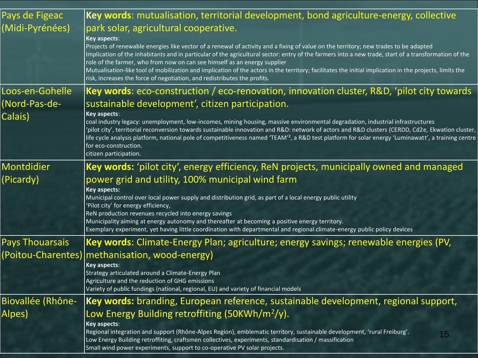| Pays de Figeac         | Key words: mutualisation, territorial development, bond agriculture-energy, collective                                                                                                                                                                                              |
|------------------------|-------------------------------------------------------------------------------------------------------------------------------------------------------------------------------------------------------------------------------------------------------------------------------------|
| (Midi-Pyrénées)        | park solar, agricultural cooperative.                                                                                                                                                                                                                                               |
|                        | <b>Key aspects:</b>                                                                                                                                                                                                                                                                 |
|                        | Projects of renewable energies like vector of a renewal of activity and a fixing of value on the territory; new trades to be adapted                                                                                                                                                |
|                        | Implication of the inhabitants and in particular of the agricultural sector: entry of the farmers into a new trade, start of a transformation of the<br>role of the farmer, who from now on can see himself as an energy supplier                                                   |
|                        | Mutualisation-like tool of mobilization and implication of the actors in the territory; facilitates the initial implication in the projects, limits the                                                                                                                             |
|                        | risk, increases the force of negotiation, and redistributes the profits.                                                                                                                                                                                                            |
| Loos-en-Gohelle        | Key words: eco-construction / eco-renovation, innovation cluster, R&D, 'pilot city towards                                                                                                                                                                                          |
| (Nord-Pas-de-          | sustainable development', citizen participation.                                                                                                                                                                                                                                    |
| Calais)                | Key aspects:                                                                                                                                                                                                                                                                        |
|                        | coal industry legacy: unemployment, low-incomes, mining housing, massive environmental degradation, industrial infrastructures<br>'pilot city', territorial reconversion towards sustainable innovation and R&D: network of actors and R&D clusters (CERDD, Cd2e, Ekwation cluster, |
|                        | life cycle analysis platform, national pole of competitiveness named 'TEAM' <sup>2</sup> , a R&D test platform for solar energy 'Luminawatt', a training centre                                                                                                                     |
|                        | for eco-construction.                                                                                                                                                                                                                                                               |
|                        | citizen participation.                                                                                                                                                                                                                                                              |
| Montdidier             | Key words: 'pilot city', energy efficiency, ReN projects, municipally owned and managed                                                                                                                                                                                             |
| (Picardy)              | power grid and utility, 100% municipal wind farm                                                                                                                                                                                                                                    |
|                        | <b>Key aspects:</b>                                                                                                                                                                                                                                                                 |
|                        | Municipal control over local power supply and distribution grid, as part of a local energy public utility<br>'Pilot city' for energy efficiency,                                                                                                                                    |
|                        | ReN production revenues recycled into energy savings                                                                                                                                                                                                                                |
|                        | Municipality aiming at energy autonomy and thereafter at becoming a positive energy territory.                                                                                                                                                                                      |
|                        | Exemplary experiment, yet having little coordination with departmental and regional climate-energy public policy devices                                                                                                                                                            |
| <b>Pays Thouarsais</b> | Key words: Climate-Energy Plan; agriculture; energy savings; renewable energies (PV,                                                                                                                                                                                                |
| (Poitou-Charentes)     | methanisation, wood-energy)                                                                                                                                                                                                                                                         |
|                        | <b>Key aspects:</b>                                                                                                                                                                                                                                                                 |
|                        | Strategy articulated around a Climate-Energy Plan<br>Agriculture and the reduction of GHG emissions                                                                                                                                                                                 |
|                        | Variety of public fundings (national, regional, EU) and variety of financial models                                                                                                                                                                                                 |
| Biovallée (Rhône-      | Key words: branding, European reference, sustainable development, regional support,                                                                                                                                                                                                 |
| Alpes)                 | Low Energy Building retroffiting (50KWh/m <sup>2</sup> /y).                                                                                                                                                                                                                         |
|                        | <b>Key aspects:</b>                                                                                                                                                                                                                                                                 |
|                        | Regional integration and support (Rhône-Alpes Region), emblematic territory, sustainable development, 'rural Freiburg'.<br>15                                                                                                                                                       |
|                        | Low Energy Building retroffiting, craftsmen collectives, experiments, standardisation / massification<br>Small wind power experiments, support to co-operative PV solar projects.                                                                                                   |
|                        |                                                                                                                                                                                                                                                                                     |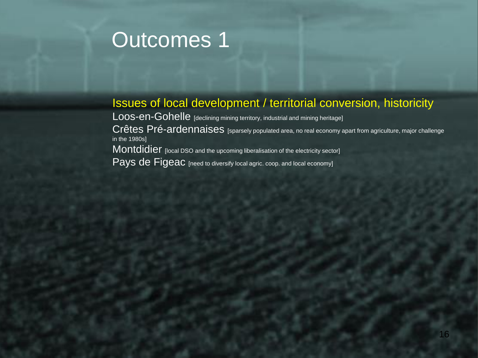#### Issues of local development / territorial conversion, historicity

Loos-en-Gohelle [declining mining territory, industrial and mining heritage] Crêtes Pré-ardennaises [sparsely populated area, no real economy apart from agriculture, major challenge in the 1980s] Montdidier [local DSO and the upcoming liberalisation of the electricity sector] Pays de Figeac [need to diversify local agric. coop. and local economy]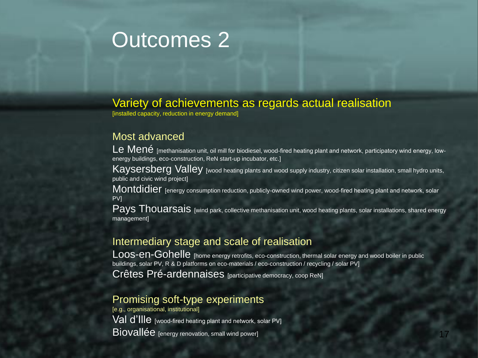#### Variety of achievements as regards actual realisation

[installed capacity, reduction in energy demand]

#### Most advanced

Le Mené [methanisation unit, oil mill for biodiesel, wood-fired heating plant and network, participatory wind energy, lowenergy buildings, eco-construction, ReN start-up incubator, etc.]

Kaysersberg Valley [wood heating plants and wood supply industry, citizen solar installation, small hydro units, public and civic wind project]

Montdidier [energy consumption reduction, publicly-owned wind power, wood-fired heating plant and network, solar PV]

Pays Thouarsais [wind park, collective methanisation unit, wood heating plants, solar installations, shared energy management]

#### Intermediary stage and scale of realisation

Loos-en-Gohelle [home energy retrofits, eco-construction, thermal solar energy and wood boiler in public buildings, solar PV, R & D platforms on eco-materials / eco-construction / recycling / solar PV] Crêtes Pré-ardennaises [participative democracy, coop ReN]

#### Promising soft-type experiments

[e.g., organisational, institutional] Val d'IIIe [wood-fired heating plant and network, solar PV] Biovallée [energy renovation, small wind power]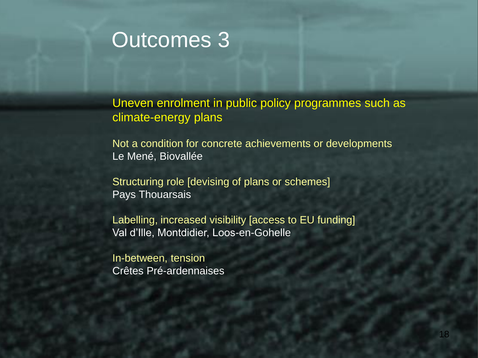Uneven enrolment in public policy programmes such as climate-energy plans

Not a condition for concrete achievements or developments Le Mené, Biovallée

Structuring role [devising of plans or schemes] Pays Thouarsais

Labelling, increased visibility [access to EU funding] Val d'Ille, Montdidier, Loos-en-Gohelle

In-between, tension Crêtes Pré-ardennaises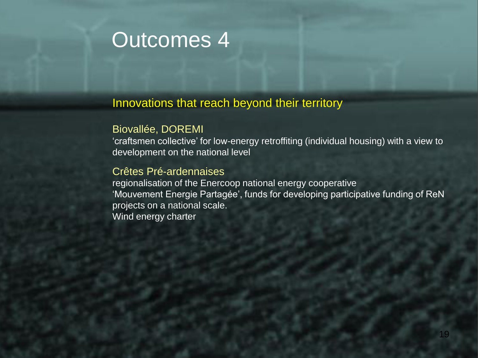#### Innovations that reach beyond their territory

#### Biovallée, DOREMI

'craftsmen collective' for low-energy retroffiting (individual housing) with a view to development on the national level

#### Crêtes Pré-ardennaises

regionalisation of the Enercoop national energy cooperative 'Mouvement Energie Partagée', funds for developing participative funding of ReN projects on a national scale. Wind energy charter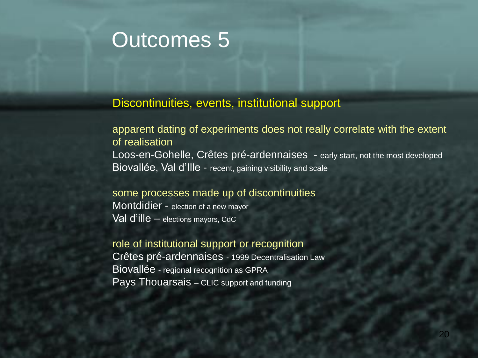#### Discontinuities, events, institutional support

apparent dating of experiments does not really correlate with the extent of realisation Loos-en-Gohelle, Crêtes pré-ardennaises - early start, not the most developed Biovallée, Val d'Ille - recent, gaining visibility and scale

#### some processes made up of discontinuities

Montdidier - election of a new mayor Val d'ille – elections mayors, CdC

role of institutional support or recognition Crêtes pré-ardennaises - 1999 Decentralisation Law Biovallée - regional recognition as GPRA Pays Thouarsais – CLIC support and funding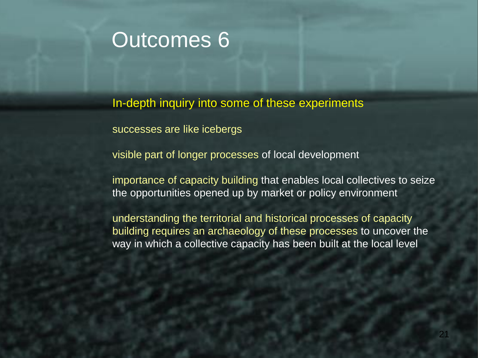In-depth inquiry into some of these experiments

successes are like icebergs

visible part of longer processes of local development

importance of capacity building that enables local collectives to seize the opportunities opened up by market or policy environment

understanding the territorial and historical processes of capacity building requires an archaeology of these processes to uncover the way in which a collective capacity has been built at the local level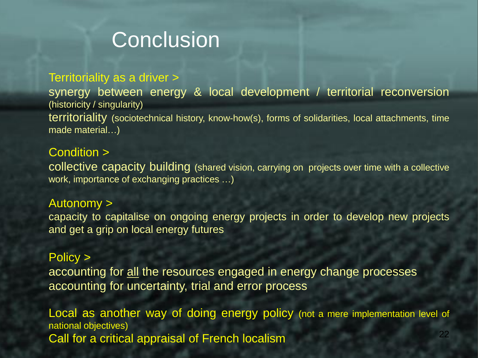# **Conclusion**

#### Territoriality as a driver >

synergy between energy & local development / territorial reconversion (historicity / singularity) territoriality (sociotechnical history, know-how(s), forms of solidarities, local attachments, time made material…)

#### Condition >

collective capacity building (shared vision, carrying on projects over time with a collective work, importance of exchanging practices …)

#### Autonomy >

capacity to capitalise on ongoing energy projects in order to develop new projects and get a grip on local energy futures

#### Policy >

accounting for all the resources engaged in energy change processes accounting for uncertainty, trial and error process

Local as another way of doing energy policy (not a mere implementation level of national objectives) Call for a critical appraisal of French localism <sup>22</sup>